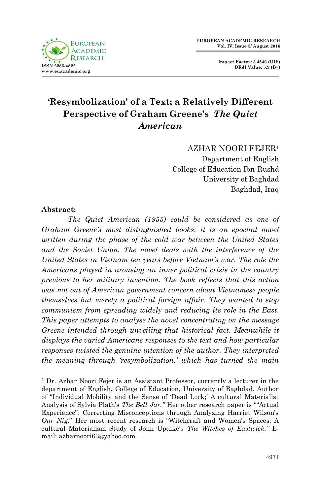

**Impact Factor: 3.4546 (UIF) DRJI Value: 5.9 (B+)**

# **'Resymbolization' of a Text; a Relatively Different Perspective of Graham Greene's** *The Quiet American*

AZHAR NOORI FEJER<sup>1</sup>

 Department of English College of Education Ibn-Rushd University of Baghdad Baghdad, Iraq

#### **Abstract:**

1

 *The Quiet American (1955) could be considered as one of Graham Greene's most distinguished books; it is an epochal novel written during the phase of the cold war between the United States and the Soviet Union. The novel deals with the interference of the United States in Vietnam ten years before Vietnam's war. The role the Americans played in arousing an inner political crisis in the country previous to her military invention. The book reflects that this action was not out of American government concern about Vietnamese people themselves but merely a political foreign affair. They wanted to stop communism from spreading widely and reducing its role in the East. This paper attempts to analyse the novel concentrating on the message Greene intended through unveiling that historical fact. Meanwhile it displays the varied Americans responses to the text and how particular responses twisted the genuine intention of the author. They interpreted the meaning through 'resymbolization,' which has turned the main* 

<sup>1</sup> Dr. Azhar Noori Fejer is an Assistant Professor, currently a lecturer in the department of English, College of Education, University of Baghdad. Author of "Individual Mobility and the Sense of 'Dead Lock;' A cultural Materialist Analysis of Sylvia Plath's *The Bell Jar.*" Her other research paper is ""Actual Experience‖: Correcting Misconceptions through Analyzing Harriet Wilson's *Our Nig.*" Her most recent research is "Witchcraft and Women's Spaces; A cultural Materialism Study of John Updike's *The Witches of Eastwick."* Email: azharnoori63@yahoo.com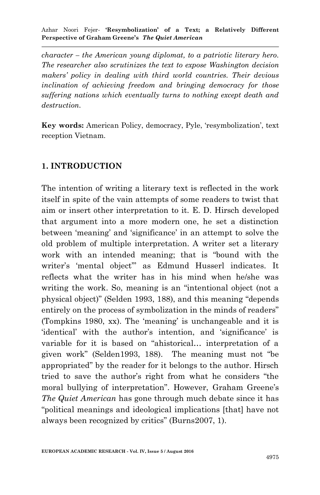Azhar Noori Fejer*-* **'Resymbolization' of a Text; a Relatively Different Perspective of Graham Greene's** *The Quiet American*

*character – the American young diplomat, to a patriotic literary hero. The researcher also scrutinizes the text to expose Washington decision makers' policy in dealing with third world countries. Their devious inclination of achieving freedom and bringing democracy for those suffering nations which eventually turns to nothing except death and destruction.*

**Key words:** American Policy, democracy, Pyle, ‗resymbolization', text reception Vietnam.

#### **1. INTRODUCTION**

The intention of writing a literary text is reflected in the work itself in spite of the vain attempts of some readers to twist that aim or insert other interpretation to it. E. D. Hirsch developed that argument into a more modern one, he set a distinction between 'meaning' and 'significance' in an attempt to solve the old problem of multiple interpretation. A writer set a literary work with an intended meaning; that is "bound with the writer's 'mental object" as Edmund Husserl indicates. It reflects what the writer has in his mind when he/she was writing the work. So, meaning is an "intentional object (not a physical object)" (Selden 1993, 188), and this meaning "depends entirely on the process of symbolization in the minds of readers" (Tompkins 1980, xx). The 'meaning' is unchangeable and it is ‗identical' with the author's intention, and ‗significance' is variable for it is based on "ahistorical... interpretation of a given work" (Selden1993, 188). The meaning must not "be" appropriated‖ by the reader for it belongs to the author. Hirsch tried to save the author's right from what he considers "the moral bullying of interpretation". However, Graham Greene's *The Quiet American* has gone through much debate since it has ―political meanings and ideological implications [that] have not always been recognized by critics" (Burns2007, 1).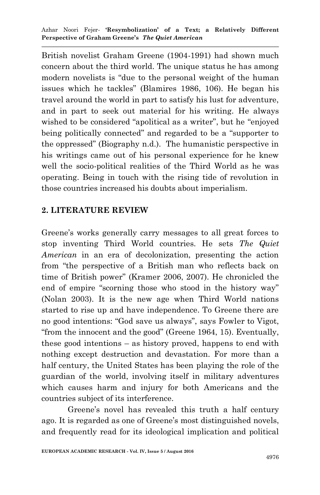Azhar Noori Fejer*-* **'Resymbolization' of a Text; a Relatively Different Perspective of Graham Greene's** *The Quiet American*

British novelist Graham Greene (1904-1991) had shown much concern about the third world. The unique status he has among modern novelists is "due to the personal weight of the human issues which he tackles" (Blamires 1986, 106). He began his travel around the world in part to satisfy his lust for adventure, and in part to seek out material for his writing. He always wished to be considered "apolitical as a writer", but he "enjoyed" being politically connected" and regarded to be a "supporter to the oppressed‖ (Biography n.d.). The humanistic perspective in his writings came out of his personal experience for he knew well the socio-political realities of the Third World as he was operating. Being in touch with the rising tide of revolution in those countries increased his doubts about imperialism.

# **2. LITERATURE REVIEW**

Greene's works generally carry messages to all great forces to stop inventing Third World countries. He sets *The Quiet American* in an era of decolonization, presenting the action from "the perspective of a British man who reflects back on time of British power" (Kramer 2006, 2007). He chronicled the end of empire "scorning those who stood in the history way" (Nolan 2003). It is the new age when Third World nations started to rise up and have independence. To Greene there are no good intentions: "God save us always", says Fowler to Vigot, ―from the innocent and the good‖ (Greene 1964, 15). Eventually, these good intentions – as history proved, happens to end with nothing except destruction and devastation. For more than a half century, the United States has been playing the role of the guardian of the world, involving itself in military adventures which causes harm and injury for both Americans and the countries subject of its interference.

 Greene's novel has revealed this truth a half century ago. It is regarded as one of Greene's most distinguished novels, and frequently read for its ideological implication and political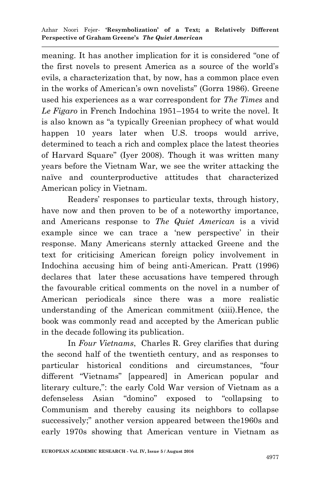meaning. It has another implication for it is considered "one of the first novels to present America as a source of the world's evils, a characterization that, by now, has a common place even in the works of American's own novelists" (Gorra 1986). Greene used his experiences as a war correspondent for *The Times* and *Le Figaro* in French Indochina 1951–1954 to write the novel. It is also known as "a typically Greenian prophecy of what would happen 10 years later when U.S. troops would arrive, determined to teach a rich and complex place the latest theories of Harvard Square" (Iyer 2008). Though it was written many years before the Vietnam War, we see the writer attacking the naïve and counterproductive attitudes that characterized American policy in Vietnam.

 Readers' responses to particular texts, through history, have now and then proven to be of a noteworthy importance, and Americans response to *The Quiet American* is a vivid example since we can trace a 'new perspective' in their response. Many Americans sternly attacked Greene and the text for criticising American foreign policy involvement in Indochina accusing him of being anti-American. Pratt (1996) declares that later these accusations have tempered through the favourable critical comments on the novel in a number of American periodicals since there was a more realistic understanding of the American commitment (xiii).Hence, the book was commonly read and accepted by the American public in the decade following its publication.

 In *Four Vietnams*, Charles R. Grey clarifies that during the second half of the twentieth century, and as responses to particular historical conditions and circumstances, "four different "Vietnams" [appeared] in American popular and literary culture,": the early Cold War version of Vietnam as a defenseless Asian "domino" exposed to "collapsing to Communism and thereby causing its neighbors to collapse successively;" another version appeared between the 1960s and early 1970s showing that American venture in Vietnam as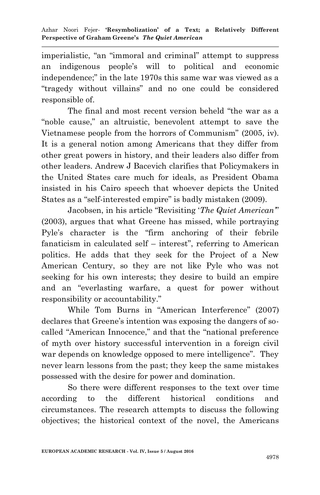imperialistic, "an "immoral and criminal" attempt to suppress an indigenous people's will to political and economic independence;" in the late 1970s this same war was viewed as a ―tragedy without villains‖ and no one could be considered responsible of.

The final and most recent version beheld "the war as a "noble cause," an altruistic, benevolent attempt to save the Vietnamese people from the horrors of Communism" (2005, iv). It is a general notion among Americans that they differ from other great powers in history, and their leaders also differ from other leaders. Andrew J Bacevich clarifies that Policymakers in the United States care much for ideals, as President Obama insisted in his Cairo speech that whoever depicts the United States as a "self-interested empire" is badly mistaken (2009).

Jacobsen, in his article "Revisiting '*The Quiet American*" (2003), argues that what Greene has missed, while portraying Pyle's character is the "firm anchoring of their febrile" fanaticism in calculated self – interest", referring to American politics. He adds that they seek for the Project of a New American Century, so they are not like Pyle who was not seeking for his own interests; they desire to build an empire and an "everlasting warfare, a quest for power without responsibility or accountability."

While Tom Burns in "American Interference" (2007) declares that Greene's intention was exposing the dangers of socalled "American Innocence," and that the "national preference of myth over history successful intervention in a foreign civil war depends on knowledge opposed to mere intelligence". They never learn lessons from the past; they keep the same mistakes possessed with the desire for power and domination.

So there were different responses to the text over time according to the different historical conditions and circumstances. The research attempts to discuss the following objectives; the historical context of the novel, the Americans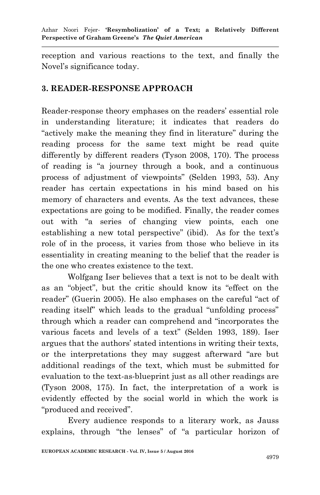reception and various reactions to the text, and finally the Novel's significance today.

# **3. READER-RESPONSE APPROACH**

Reader-response theory emphases on the readers' essential role in understanding literature; it indicates that readers do "actively make the meaning they find in literature" during the reading process for the same text might be read quite differently by different readers (Tyson 2008, 170). The process of reading is "a journey through a book, and a continuous process of adjustment of viewpoints" (Selden 1993, 53). Any reader has certain expectations in his mind based on his memory of characters and events. As the text advances, these expectations are going to be modified. Finally, the reader comes out with "a series of changing view points, each one establishing a new total perspective" (ibid). As for the text's role of in the process, it varies from those who believe in its essentiality in creating meaning to the belief that the reader is the one who creates existence to the text.

 Wolfgang Iser believes that a text is not to be dealt with as an "object", but the critic should know its "effect on the reader" (Guerin 2005). He also emphases on the careful "act of reading itself which leads to the gradual "unfolding process" through which a reader can comprehend and "incorporates the various facets and levels of a text" (Selden 1993, 189). Iser argues that the authors' stated intentions in writing their texts, or the interpretations they may suggest afterward "are but" additional readings of the text, which must be submitted for evaluation to the text-as-blueprint just as all other readings are (Tyson 2008, 175). In fact, the interpretation of a work is evidently effected by the social world in which the work is "produced and received".

 Every audience responds to a literary work, as Jauss explains, through "the lenses" of "a particular horizon of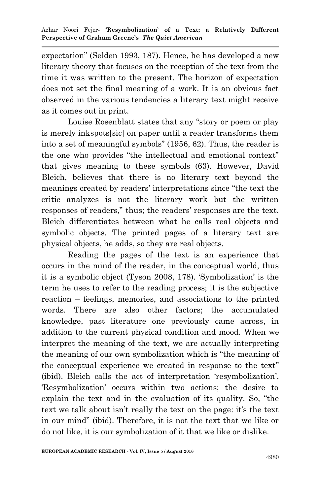expectation" (Selden 1993, 187). Hence, he has developed a new literary theory that focuses on the reception of the text from the time it was written to the present. The horizon of expectation does not set the final meaning of a work. It is an obvious fact observed in the various tendencies a literary text might receive as it comes out in print.

Louise Rosenblatt states that any "story or poem or play is merely inkspots[sic] on paper until a reader transforms them into a set of meaningful symbols"  $(1956, 62)$ . Thus, the reader is the one who provides "the intellectual and emotional context" that gives meaning to these symbols (63). However, David Bleich, believes that there is no literary text beyond the meanings created by readers' interpretations since "the text the critic analyzes is not the literary work but the written responses of readers," thus; the readers' responses are the text. Bleich differentiates between what he calls real objects and symbolic objects. The printed pages of a literary text are physical objects, he adds, so they are real objects.

 Reading the pages of the text is an experience that occurs in the mind of the reader, in the conceptual world, thus it is a symbolic object (Tyson 2008, 178). 'Symbolization' is the term he uses to refer to the reading process; it is the subjective reaction – feelings, memories, and associations to the printed words. There are also other factors; the accumulated knowledge, past literature one previously came across, in addition to the current physical condition and mood. When we interpret the meaning of the text, we are actually interpreting the meaning of our own symbolization which is "the meaning of the conceptual experience we created in response to the text" (ibid). Bleich calls the act of interpretation 'resymbolization'. ‗Resymbolization' occurs within two actions; the desire to explain the text and in the evaluation of its quality. So, "the text we talk about isn't really the text on the page: it's the text in our mind" (ibid). Therefore, it is not the text that we like or do not like, it is our symbolization of it that we like or dislike.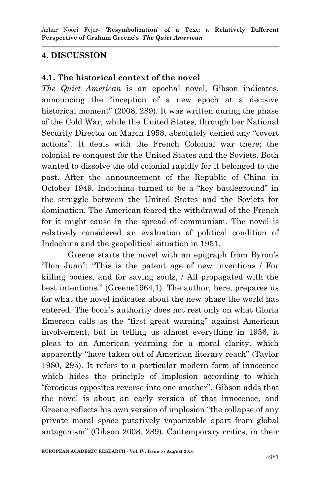# **4. DISCUSSION**

### **4.1. The historical context of the novel**

*The Quiet American* is an epochal novel, Gibson indicates, announcing the "inception of a new epoch at a decisive historical moment" (2008, 289). It was written during the phase of the Cold War, while the United States, through her National Security Director on March 1958, absolutely denied any "covert" actions". It deals with the French Colonial war there; the colonial re-conquest for the United States and the Soviets. Both wanted to dissolve the old colonial rapidly for it belonged to the past. After the announcement of the Republic of China in October 1949, Indochina turned to be a "key battleground" in the struggle between the United States and the Soviets for domination. The American feared the withdrawal of the French for it might cause in the spread of communism. The novel is relatively considered an evaluation of political condition of Indochina and the geopolitical situation in 1951.

 Greene starts the novel with an epigraph from Byron's "Don Juan": "This is the patent age of new inventions / For killing bodies, and for saving souls, / All propagated with the best intentions." (Greene1964,1). The author, here, prepares us for what the novel indicates about the new phase the world has entered. The book's authority does not rest only on what Gloria Emerson calls as the "first great warning" against American involvement, but in telling us almost everything in 1956, it pleas to an American yearning for a moral clarity, which apparently "have taken out of American literary reach" (Taylor 1980, 295). It refers to a particular modern form of innocence which hides the principle of implosion according to which ―ferocious opposites reverse into one another‖. Gibson adds that the novel is about an early version of that innocence, and Greene reflects his own version of implosion "the collapse of any private moral space putatively vaporizable apart from global antagonism" (Gibson 2008, 289). Contemporary critics, in their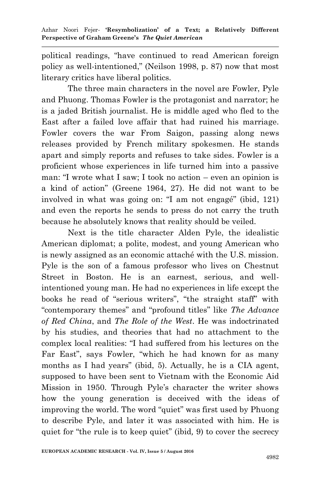political readings, ―have continued to read American foreign policy as well-intentioned," (Neilson 1998, p. 87) now that most literary critics have liberal politics.

 The three main characters in the novel are Fowler, Pyle and Phuong. Thomas Fowler is the protagonist and narrator; he is a jaded British journalist. He is middle aged who fled to the East after a failed love affair that had ruined his marriage. Fowler covers the war From Saigon, passing along news releases provided by French military spokesmen. He stands apart and simply reports and refuses to take sides. Fowler is a proficient whose experiences in life turned him into a passive man: "I wrote what I saw; I took no action – even an opinion is a kind of action" (Greene 1964, 27). He did not want to be involved in what was going on: "I am not engagé" (ibid, 121) and even the reports he sends to press do not carry the truth because he absolutely knows that reality should be veiled.

 Next is the title character Alden Pyle, the idealistic American diplomat; a polite, modest, and young American who is newly assigned as an economic attaché with the U.S. mission. Pyle is the son of a famous professor who lives on Chestnut Street in Boston. He is an earnest, serious, and wellintentioned young man. He had no experiences in life except the books he read of "serious writers", "the straight staff" with ―contemporary themes‖ and ―profound titles‖ like *The Advance of Red China*, and *The Role of the West*. He was indoctrinated by his studies, and theories that had no attachment to the complex local realities: "I had suffered from his lectures on the Far East", says Fowler, "which he had known for as many months as I had years" (ibid, 5). Actually, he is a CIA agent, supposed to have been sent to Vietnam with the Economic Aid Mission in 1950. Through Pyle's character the writer shows how the young generation is deceived with the ideas of improving the world. The word "quiet" was first used by Phuong to describe Pyle, and later it was associated with him. He is quiet for "the rule is to keep quiet" (ibid, 9) to cover the secrecy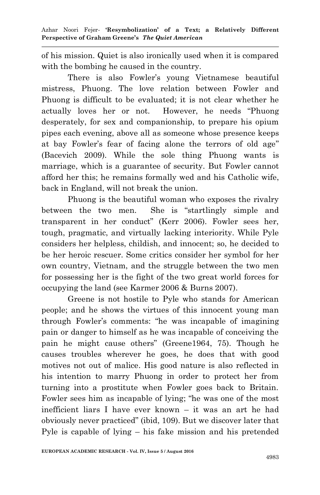of his mission. Quiet is also ironically used when it is compared with the bombing he caused in the country.

 There is also Fowler's young Vietnamese beautiful mistress, Phuong. The love relation between Fowler and Phuong is difficult to be evaluated; it is not clear whether he actually loves her or not. However, he needs "Phuong" desperately, for sex and companionship, to prepare his opium pipes each evening, above all as someone whose presence keeps at bay Fowler's fear of facing alone the terrors of old age" (Bacevich 2009). While the sole thing Phuong wants is marriage, which is a guarantee of security. But Fowler cannot afford her this; he remains formally wed and his Catholic wife, back in England, will not break the union.

 Phuong is the beautiful woman who exposes the rivalry between the two men. She is "startlingly simple and transparent in her conduct‖ (Kerr 2006). Fowler sees her, tough, pragmatic, and virtually lacking interiority. While Pyle considers her helpless, childish, and innocent; so, he decided to be her heroic rescuer. Some critics consider her symbol for her own country, Vietnam, and the struggle between the two men for possessing her is the fight of the two great world forces for occupying the land (see Karmer 2006 & Burns 2007).

 Greene is not hostile to Pyle who stands for American people; and he shows the virtues of this innocent young man through Fowler's comments: "he was incapable of imagining pain or danger to himself as he was incapable of conceiving the pain he might cause others" (Greene1964, 75). Though he causes troubles wherever he goes, he does that with good motives not out of malice. His good nature is also reflected in his intention to marry Phuong in order to protect her from turning into a prostitute when Fowler goes back to Britain. Fowler sees him as incapable of lying; "he was one of the most inefficient liars I have ever known – it was an art he had obviously never practiced‖ (ibid, 109). But we discover later that Pyle is capable of lying – his fake mission and his pretended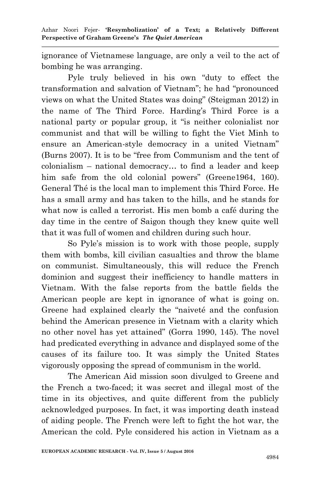ignorance of Vietnamese language, are only a veil to the act of bombing he was arranging.

Pyle truly believed in his own "duty to effect the transformation and salvation of Vietnam"; he had "pronounced views on what the United States was doing‖ (Steigman 2012) in the name of The Third Force. Harding's Third Force is a national party or popular group, it "is neither colonialist nor communist and that will be willing to fight the Viet Minh to ensure an American-style democracy in a united Vietnam" (Burns 2007). It is to be "free from Communism and the tent of colonialism – national democracy… to find a leader and keep him safe from the old colonial powers" (Greene1964, 160). General Thé is the local man to implement this Third Force. He has a small army and has taken to the hills, and he stands for what now is called a terrorist. His men bomb a café during the day time in the centre of Saigon though they knew quite well that it was full of women and children during such hour.

 So Pyle's mission is to work with those people, supply them with bombs, kill civilian casualties and throw the blame on communist. Simultaneously, this will reduce the French dominion and suggest their inefficiency to handle matters in Vietnam. With the false reports from the battle fields the American people are kept in ignorance of what is going on. Greene had explained clearly the "naiveté and the confusion" behind the American presence in Vietnam with a clarity which no other novel has yet attained" (Gorra 1990, 145). The novel had predicated everything in advance and displayed some of the causes of its failure too. It was simply the United States vigorously opposing the spread of communism in the world.

 The American Aid mission soon divulged to Greene and the French a two-faced; it was secret and illegal most of the time in its objectives, and quite different from the publicly acknowledged purposes. In fact, it was importing death instead of aiding people. The French were left to fight the hot war, the American the cold. Pyle considered his action in Vietnam as a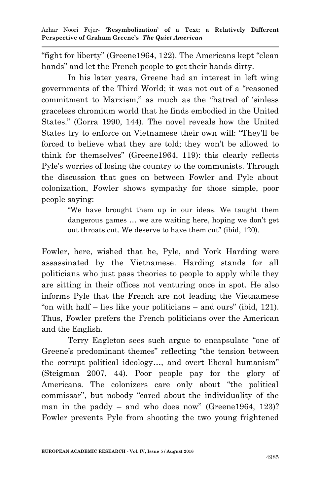"fight for liberty" (Greene1964, 122). The Americans kept "clean" hands" and let the French people to get their hands dirty.

 In his later years, Greene had an interest in left wing governments of the Third World; it was not out of a "reasoned" commitment to Marxism," as much as the "hatred of 'sinless graceless chromium world that he finds embodied in the United States.‖ (Gorra 1990, 144). The novel reveals how the United States try to enforce on Vietnamese their own will: "They'll be forced to believe what they are told; they won't be allowed to think for themselves" (Greene1964, 119): this clearly reflects Pyle's worries of losing the country to the communists. Through the discussion that goes on between Fowler and Pyle about colonization, Fowler shows sympathy for those simple, poor people saying:

> ―We have brought them up in our ideas. We taught them dangerous games … we are waiting here, hoping we don't get out throats cut. We deserve to have them cut" (ibid, 120).

Fowler, here, wished that he, Pyle, and York Harding were assassinated by the Vietnamese. Harding stands for all politicians who just pass theories to people to apply while they are sitting in their offices not venturing once in spot. He also informs Pyle that the French are not leading the Vietnamese "on with half  $-$  lies like your politicians  $-$  and ours" (ibid, 121). Thus, Fowler prefers the French politicians over the American and the English.

Terry Eagleton sees such argue to encapsulate "one of Greene's predominant themes" reflecting "the tension between the corrupt political ideology..., and overt liberal humanism" (Steigman 2007, 44). Poor people pay for the glory of Americans. The colonizers care only about "the political commissar", but nobody "cared about the individuality of the man in the paddy – and who does now" (Greene 1964, 123)? Fowler prevents Pyle from shooting the two young frightened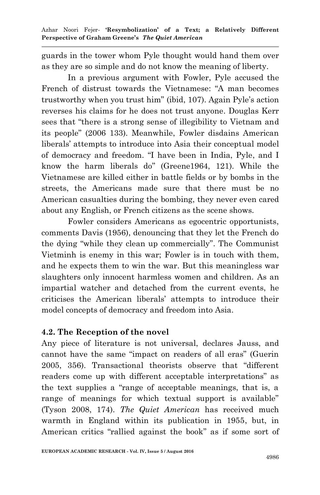guards in the tower whom Pyle thought would hand them over as they are so simple and do not know the meaning of liberty.

 In a previous argument with Fowler, Pyle accused the French of distrust towards the Vietnamese: "A man becomes" trustworthy when you trust him‖ (ibid, 107). Again Pyle's action reverses his claims for he does not trust anyone. Douglas Kerr sees that "there is a strong sense of illegibility to Vietnam and its people" (2006 133). Meanwhile, Fowler disdains American liberals' attempts to introduce into Asia their conceptual model of democracy and freedom. "I have been in India, Pyle, and I know the harm liberals do" (Greene1964, 121). While the Vietnamese are killed either in battle fields or by bombs in the streets, the Americans made sure that there must be no American casualties during the bombing, they never even cared about any English, or French citizens as the scene shows.

 Fowler considers Americans as egocentric opportunists, comments Davis (1956), denouncing that they let the French do the dying "while they clean up commercially". The Communist Vietminh is enemy in this war; Fowler is in touch with them, and he expects them to win the war. But this meaningless war slaughters only innocent harmless women and children. As an impartial watcher and detached from the current events, he criticises the American liberals' attempts to introduce their model concepts of democracy and freedom into Asia.

### **4.2. The Reception of the novel**

Any piece of literature is not universal, declares Jauss, and cannot have the same "impact on readers of all eras" (Guerin 2005, 356). Transactional theorists observe that "different readers come up with different acceptable interpretations" as the text supplies a "range of acceptable meanings, that is, a range of meanings for which textual support is available" (Tyson 2008, 174). *The Quiet American* has received much warmth in England within its publication in 1955, but, in American critics "rallied against the book" as if some sort of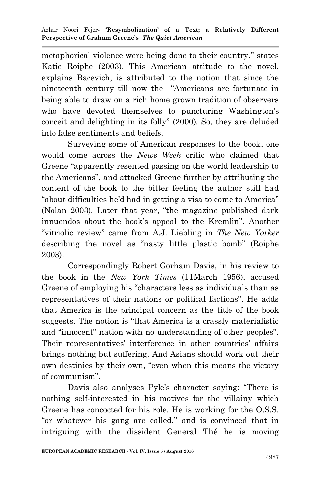metaphorical violence were being done to their country," states Katie Roiphe (2003). This American attitude to the novel, explains Bacevich, is attributed to the notion that since the nineteenth century till now the "Americans are fortunate in being able to draw on a rich home grown tradition of observers who have devoted themselves to puncturing Washington's conceit and delighting in its folly"  $(2000)$ . So, they are deluded into false sentiments and beliefs.

 Surveying some of American responses to the book, one would come across the *News Week* critic who claimed that Greene "apparently resented passing on the world leadership to the Americans", and attacked Greene further by attributing the content of the book to the bitter feeling the author still had "about difficulties he'd had in getting a visa to come to America" (Nolan 2003). Later that year, "the magazine published dark innuendos about the book's appeal to the Kremlin". Another ―vitriolic review‖ came from A.J. Liebling in *The New Yorker* describing the novel as "nasty little plastic bomb" (Roiphe 2003).

 Correspondingly Robert Gorham Davis, in his review to the book in the *New York Times* (11March 1956), accused Greene of employing his "characters less as individuals than as representatives of their nations or political factions". He adds that America is the principal concern as the title of the book suggests. The notion is "that America is a crassly materialistic and "innocent" nation with no understanding of other peoples". Their representatives' interference in other countries' affairs brings nothing but suffering. And Asians should work out their own destinies by their own, "even when this means the victory of communism".

Davis also analyses Pyle's character saying: "There is nothing self-interested in his motives for the villainy which Greene has concocted for his role. He is working for the O.S.S. "or whatever his gang are called," and is convinced that in intriguing with the dissident General Thé he is moving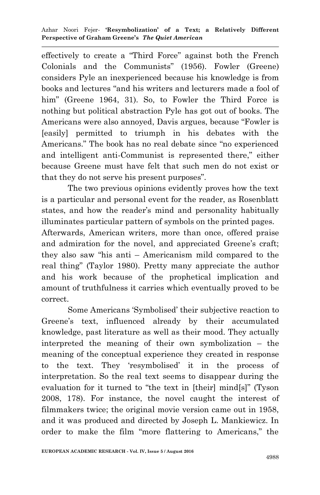effectively to create a "Third Force" against both the French Colonials and the Communists" (1956). Fowler (Greene) considers Pyle an inexperienced because his knowledge is from books and lectures "and his writers and lecturers made a fool of him" (Greene 1964, 31). So, to Fowler the Third Force is nothing but political abstraction Pyle has got out of books. The Americans were also annoyed, Davis argues, because "Fowler is [easily] permitted to triumph in his debates with the Americans." The book has no real debate since "no experienced" and intelligent anti-Communist is represented there," either because Greene must have felt that such men do not exist or that they do not serve his present purposes".

 The two previous opinions evidently proves how the text is a particular and personal event for the reader, as Rosenblatt states, and how the reader's mind and personality habitually illuminates particular pattern of symbols on the printed pages.

Afterwards, American writers, more than once, offered praise and admiration for the novel, and appreciated Greene's craft; they also saw "his anti – Americanism mild compared to the real thing" (Taylor 1980). Pretty many appreciate the author and his work because of the prophetical implication and amount of truthfulness it carries which eventually proved to be correct.

Some Americans 'Symbolised' their subjective reaction to Greene's text, influenced already by their accumulated knowledge, past literature as well as their mood. They actually interpreted the meaning of their own symbolization – the meaning of the conceptual experience they created in response to the text. They 'resymbolised' it in the process of interpretation. So the real text seems to disappear during the evaluation for it turned to "the text in [their] mind[s]" (Tyson 2008, 178). For instance, the novel caught the interest of filmmakers twice; the original movie version came out in 1958, and it was produced and directed by Joseph L. Mankiewicz. In order to make the film "more flattering to Americans," the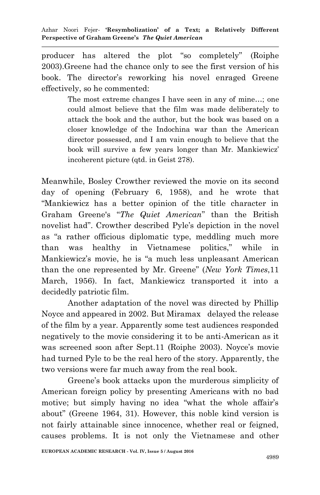producer has altered the plot "so completely" (Roiphe 2003).Greene had the chance only to see the first version of his book. The director's reworking his novel enraged Greene effectively, so he commented:

> The most extreme changes I have seen in any of mine…; one could almost believe that the film was made deliberately to attack the book and the author, but the book was based on a closer knowledge of the Indochina war than the American director possessed, and I am vain enough to believe that the book will survive a few years longer than Mr. Mankiewicz' incoherent picture (qtd. in Geist 278).

Meanwhile, Bosley Crowther reviewed the movie on its second day of opening (February 6, 1958), and he wrote that ―Mankiewicz has a better opinion of the title character in Graham Greene's "The Quiet American" than the British novelist had". Crowther described Pyle's depiction in the novel as "a rather officious diplomatic type, meddling much more than was healthy in Vietnamese politics," while in Mankiewicz's movie, he is "a much less unpleasant American than the one represented by Mr. Greene‖ (*New York Times*,11 March, 1956). In fact, Mankiewicz transported it into a decidedly patriotic film.

Another adaptation of the novel was directed by Phillip Noyce and appeared in 2002. But Miramax delayed the release of the film by a year. Apparently some test audiences responded negatively to the movie considering it to be anti-American as it was screened soon after Sept.11 (Roiphe 2003). Noyce's movie had turned Pyle to be the real hero of the story. Apparently, the two versions were far much away from the real book.

 Greene's book attacks upon the murderous simplicity of American foreign policy by presenting Americans with no bad motive; but simply having no idea "what the whole affair's about" (Greene 1964, 31). However, this noble kind version is not fairly attainable since innocence, whether real or feigned, causes problems. It is not only the Vietnamese and other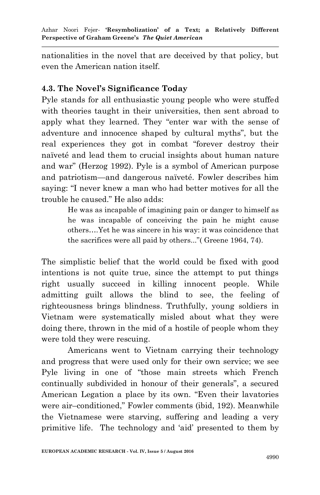nationalities in the novel that are deceived by that policy, but even the American nation itself.

# **4.3. The Novel's Significance Today**

Pyle stands for all enthusiastic young people who were stuffed with theories taught in their universities, then sent abroad to apply what they learned. They "enter war with the sense of adventure and innocence shaped by cultural myths", but the real experiences they got in combat "forever destroy their naïveté and lead them to crucial insights about human nature and war" (Herzog 1992). Pyle is a symbol of American purpose and patriotism—and dangerous naïveté. Fowler describes him saying: "I never knew a man who had better motives for all the trouble he caused." He also adds:

> He was as incapable of imagining pain or danger to himself as he was incapable of conceiving the pain he might cause others….Yet he was sincere in his way: it was coincidence that the sacrifices were all paid by others..." (Greene 1964, 74).

The simplistic belief that the world could be fixed with good intentions is not quite true, since the attempt to put things right usually succeed in killing innocent people. While admitting guilt allows the blind to see, the feeling of righteousness brings blindness. Truthfully, young soldiers in Vietnam were systematically misled about what they were doing there, thrown in the mid of a hostile of people whom they were told they were rescuing.

 Americans went to Vietnam carrying their technology and progress that were used only for their own service; we see Pyle living in one of "those main streets which French" continually subdivided in honour of their generals", a secured American Legation a place by its own. "Even their lavatories" were air-conditioned," Fowler comments (ibid, 192). Meanwhile the Vietnamese were starving, suffering and leading a very primitive life. The technology and 'aid' presented to them by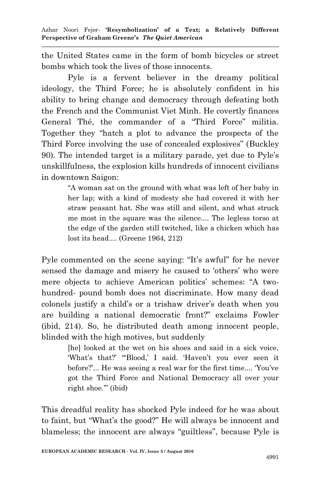the United States came in the form of bomb bicycles or street bombs which took the lives of those innocents.

 Pyle is a fervent believer in the dreamy political ideology, the Third Force; he is absolutely confident in his ability to bring change and democracy through defeating both the French and the Communist Viet Minh. He covertly finances General Thé, the commander of a "Third Force" militia. Together they "hatch a plot to advance the prospects of the Third Force involving the use of concealed explosives" (Buckley 90). The intended target is a military parade, yet due to Pyle's unskillfulness, the explosion kills hundreds of innocent civilians in downtown Saigon:

> ―A woman sat on the ground with what was left of her baby in her lap; with a kind of modesty she had covered it with her straw peasant hat. She was still and silent, and what struck me most in the square was the silence.... The legless torso at the edge of the garden still twitched, like a chicken which has lost its head.... (Greene 1964, 212)

Pyle commented on the scene saying: "It's awful" for he never sensed the damage and misery he caused to 'others' who were mere objects to achieve American politics' schemes: "A twohundred- pound bomb does not discriminate. How many dead colonels justify a child's or a trishaw driver's death when you are building a national democratic front?" exclaims Fowler (ibid, 214). So, he distributed death among innocent people, blinded with the high motives, but suddenly

> [he] looked at the wet on his shoes and said in a sick voice, ‗What's that?' ―‗Blood,' I said. ‗Haven't you ever seen it before?'... He was seeing a real war for the first time.... 'You've got the Third Force and National Democracy all over your right shoe." (ibid)

This dreadful reality has shocked Pyle indeed for he was about to faint, but "What's the good?" He will always be innocent and blameless; the innocent are always "guiltless", because Pyle is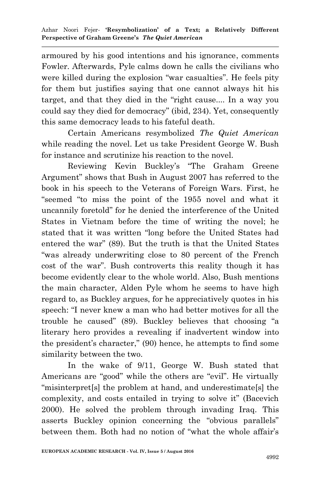armoured by his good intentions and his ignorance, comments Fowler. Afterwards, Pyle calms down he calls the civilians who were killed during the explosion "war casualties". He feels pity for them but justifies saying that one cannot always hit his target, and that they died in the "right cause.... In a way you could say they died for democracy" (ibid, 234). Yet, consequently this same democracy leads to his fateful death.

Certain Americans resymbolized *The Quiet American* while reading the novel. Let us take President George W. Bush for instance and scrutinize his reaction to the novel.

Reviewing Kevin Buckley's "The Graham Greene" Argument" shows that Bush in August 2007 has referred to the book in his speech to the Veterans of Foreign Wars. First, he ―seemed ―to miss the point of the 1955 novel and what it uncannily foretold‖ for he denied the interference of the United States in Vietnam before the time of writing the novel; he stated that it was written "long before the United States had entered the war" (89). But the truth is that the United States ―was already underwriting close to 80 percent of the French cost of the war". Bush controverts this reality though it has become evidently clear to the whole world. Also, Bush mentions the main character, Alden Pyle whom he seems to have high regard to, as Buckley argues, for he appreciatively quotes in his speech: "I never knew a man who had better motives for all the trouble he caused" (89). Buckley believes that choosing "a literary hero provides a revealing if inadvertent window into the president's character," (90) hence, he attempts to find some similarity between the two.

 In the wake of 9/11, George W. Bush stated that Americans are "good" while the others are "evil". He virtually "misinterpret[s] the problem at hand, and underestimate[s] the complexity, and costs entailed in trying to solve it" (Bacevich 2000). He solved the problem through invading Iraq. This asserts Buckley opinion concerning the "obvious parallels" between them. Both had no notion of "what the whole affair's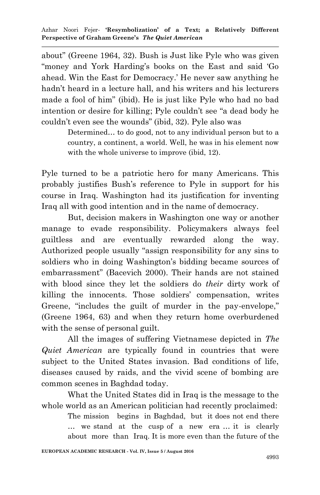about‖ (Greene 1964, 32). Bush is Just like Pyle who was given "money and York Harding's books on the East and said 'Go ahead. Win the East for Democracy.' He never saw anything he hadn't heard in a lecture hall, and his writers and his lecturers made a fool of him" (ibid). He is just like Pyle who had no bad intention or desire for killing; Pyle couldn't see "a dead body he couldn't even see the wounds" (ibid, 32). Pyle also was

> Determined… to do good, not to any individual person but to a country, a continent, a world. Well, he was in his element now with the whole universe to improve (ibid, 12).

Pyle turned to be a patriotic hero for many Americans. This probably justifies Bush's reference to Pyle in support for his course in Iraq. Washington had its justification for inventing Iraq all with good intention and in the name of democracy.

But, decision makers in Washington one way or another manage to evade responsibility. Policymakers always feel guiltless and are eventually rewarded along the way. Authorized people usually "assign responsibility for any sins to soldiers who in doing Washington's bidding became sources of embarrassment" (Bacevich 2000). Their hands are not stained with blood since they let the soldiers do *their* dirty work of killing the innocents. Those soldiers' compensation, writes Greene, "includes the guilt of murder in the pay-envelope," (Greene 1964, 63) and when they return home overburdened with the sense of personal guilt.

 All the images of suffering Vietnamese depicted in *The Quiet American* are typically found in countries that were subject to the United States invasion. Bad conditions of life, diseases caused by raids, and the vivid scene of bombing are common scenes in Baghdad today.

 What the United States did in Iraq is the message to the whole world as an American politician had recently proclaimed:

> The mission begins in Baghdad, but it does not end there … we stand at the cusp of a new era … it is clearly about more than Iraq. It is more even than the future of the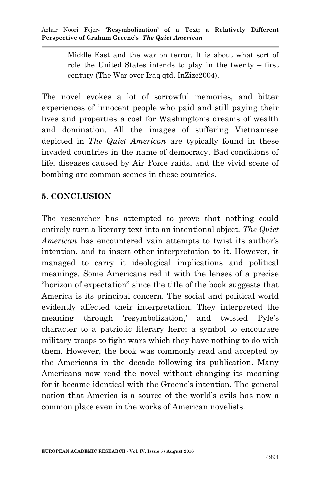Azhar Noori Fejer*-* **'Resymbolization' of a Text; a Relatively Different Perspective of Graham Greene's** *The Quiet American*

> Middle East and the war on terror. It is about what sort of role the United States intends to play in the twenty – first century (The War over Iraq qtd. InZize2004).

The novel evokes a lot of sorrowful memories, and bitter experiences of innocent people who paid and still paying their lives and properties a cost for Washington's dreams of wealth and domination. All the images of suffering Vietnamese depicted in *The Quiet American* are typically found in these invaded countries in the name of democracy. Bad conditions of life, diseases caused by Air Force raids, and the vivid scene of bombing are common scenes in these countries.

### **5. CONCLUSION**

The researcher has attempted to prove that nothing could entirely turn a literary text into an intentional object. *The Quiet American* has encountered vain attempts to twist its author's intention, and to insert other interpretation to it. However, it managed to carry it ideological implications and political meanings. Some Americans red it with the lenses of a precise ―horizon of expectation‖ since the title of the book suggests that America is its principal concern. The social and political world evidently affected their interpretation. They interpreted the meaning through 'resymbolization,' and twisted Pyle's character to a patriotic literary hero; a symbol to encourage military troops to fight wars which they have nothing to do with them. However, the book was commonly read and accepted by the Americans in the decade following its publication. Many Americans now read the novel without changing its meaning for it became identical with the Greene's intention. The general notion that America is a source of the world's evils has now a common place even in the works of American novelists.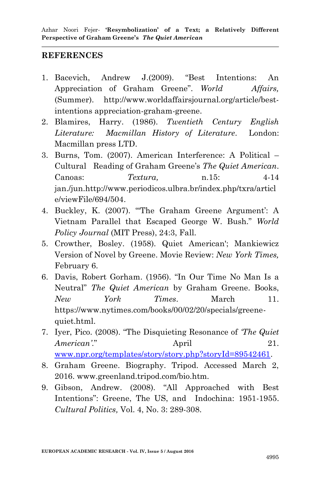#### **REFERENCES**

- 1. Bacevich. Andrew J.(2009). "Best Intentions: An Appreciation of Graham Greene". *World Affairs*, (Summer). http://www.worldaffairsjournal.org/article/bestintentions appreciation-graham-greene.
- 2. Blamires, Harry. (1986). *Twentieth Century English Literature: Macmillan History of Literature*. London: Macmillan press LTD.
- 3. Burns, Tom. (2007). American Interference: A Political Cultural Reading of Graham Greene's *The Quiet American*. Canoas: *Textura,* n.15: 4-14 jan./jun.http://www.periodicos.ulbra.br/index.php/txra/articl e/viewFile/694/504.
- 4. Buckley, K. (2007). "The Graham Greene Argument': A Vietnam Parallel that Escaped George W. Bush.‖ *World Policy Journal* (MIT Press), 24:3, Fall.
- 5. Crowther, Bosley. (1958). Quiet American'; Mankiewicz Version of Novel by Greene. Movie Review: *New York Times,* February 6.
- 6. Davis, Robert Gorham. (1956). "In Our Time No Man Is a Neutral‖ *The Quiet American* by Graham Greene. Books, *New York Times*. March 11. https://www.nytimes.com/books/00/02/20/specials/greenequiet.html.
- 7. Iyer, Pico. (2008). ―The Disquieting Resonance of *'The Quiet American*<sup>''</sup>. April 21. [www.npr.org/templates/story/story.php?storyId=89542461.](http://www.npr.org/templates/story/story.php?storyId=89542461)
- 8. Graham Greene. Biography. Tripod. Accessed March 2, 2016. www.greenland.tripod.com/bio.htm.
- 9. Gibson, Andrew. (2008). "All Approached with Best Intentions": Greene, The US, and Indochina: 1951-1955. *Cultural Politics,* Vol. 4, No. 3: 289-308.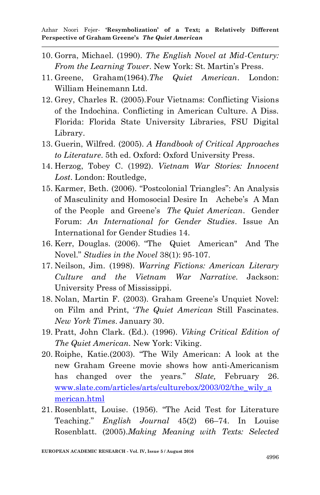- 10. Gorra, Michael. (1990). *The English Novel at Mid-Century: From the Learning Tower*. New York: St. Martin's Press.
- 11. Greene, Graham(1964).*The Quiet American*. London: William Heinemann Ltd.
- 12. Grey, Charles R. (2005).Four Vietnams: Conflicting Visions of the Indochina. Conflicting in American Culture. A Diss. Florida: Florida State University Libraries, FSU Digital Library.
- 13. Guerin, Wilfred*.* (2005). *A Handbook of Critical Approaches to Literature*. 5th ed. Oxford: Oxford University Press.
- 14. Herzog, Tobey C. (1992). *Vietnam War Stories: Innocent Lost*. London: Routledge,
- 15. Karmer, Beth. (2006). "Postcolonial Triangles": An Analysis of Masculinity and Homosocial Desire In Achebe's A Man of the People and Greene's *The Quiet American*. Gender Forum: *An International for Gender Studies*. Issue An International for Gender Studies 14.
- 16. Kerr, Douglas. (2006). "The Quiet American" And The Novel.‖ *Studies in the Novel* 38(1): 95-107.
- 17. Neilson, Jim. (1998). *Warring Fictions: American Literary Culture and the Vietnam War Narrative*. Jackson: University Press of Mississippi.
- 18. Nolan, Martin F. (2003). Graham Greene's Unquiet Novel: on Film and Print, ‗*The Quiet American* Still Fascinates. *New York Times*. January 30.
- 19. Pratt, John Clark. (Ed.). (1996). *Viking Critical Edition of The Quiet American.* New York: Viking.
- 20. Roiphe, Katie.(2003). "The Wily American: A look at the new Graham Greene movie shows how anti-Americanism has changed over the years." *Slate*, February 26. [www.slate.com/articles/arts/culturebox/2003/02/the\\_wily\\_a](http://www.slate.com/articles/arts/culturebox/2003/02/the_wily_american.html) [merican.html](http://www.slate.com/articles/arts/culturebox/2003/02/the_wily_american.html)
- 21. Rosenblatt, Louise. (1956). "The Acid Test for Literature Teaching.‖ *English Journal* 45(2) 66–74. In Louise Rosenblatt. (2005).*Making Meaning with Texts: Selected*